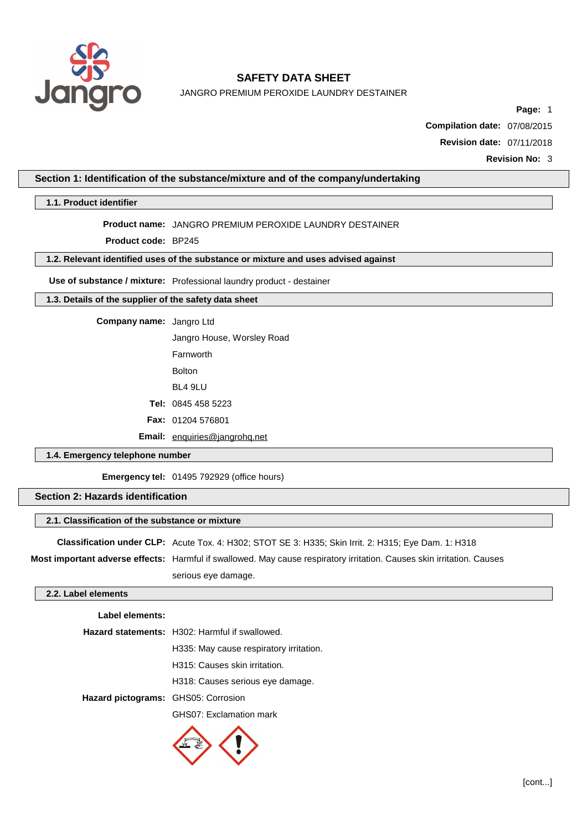

JANGRO PREMIUM PEROXIDE LAUNDRY DESTAINER

**Page:** 1

**Compilation date:** 07/08/2015

**Revision date:** 07/11/2018

**Revision No:** 3

### **Section 1: Identification of the substance/mixture and of the company/undertaking**

**1.1. Product identifier**

### **Product name:** JANGRO PREMIUM PEROXIDE LAUNDRY DESTAINER

**Product code:** BP245

### **1.2. Relevant identified uses of the substance or mixture and uses advised against**

**Use of substance / mixture:** Professional laundry product - destainer

### **1.3. Details of the supplier of the safety data sheet**

**Company name:** Jangro Ltd

Jangro House, Worsley Road

Farnworth

Bolton

BL4 9LU

**Tel:** 0845 458 5223

**Fax:** 01204 576801

**Email:** [enquiries@jangrohq.net](mailto:enquiries@jangrohq.net)

### **1.4. Emergency telephone number**

**Emergency tel:** 01495 792929 (office hours)

### **Section 2: Hazards identification**

#### **2.1. Classification of the substance or mixture**

**Classification under CLP:** Acute Tox. 4: H302; STOT SE 3: H335; Skin Irrit. 2: H315; Eye Dam. 1: H318

**Most important adverse effects:** Harmful if swallowed. May cause respiratory irritation. Causes skin irritation. Causes serious eye damage.

### **2.2. Label elements**

### **Label elements:**

|                                     | Hazard statements: H302: Harmful if swallowed. |  |
|-------------------------------------|------------------------------------------------|--|
|                                     | H335: May cause respiratory irritation.        |  |
|                                     | H315: Causes skin irritation.                  |  |
|                                     | H318: Causes serious eye damage.               |  |
| Hazard pictograms: GHS05: Corrosion |                                                |  |
|                                     | GHS07: Exclamation mark                        |  |

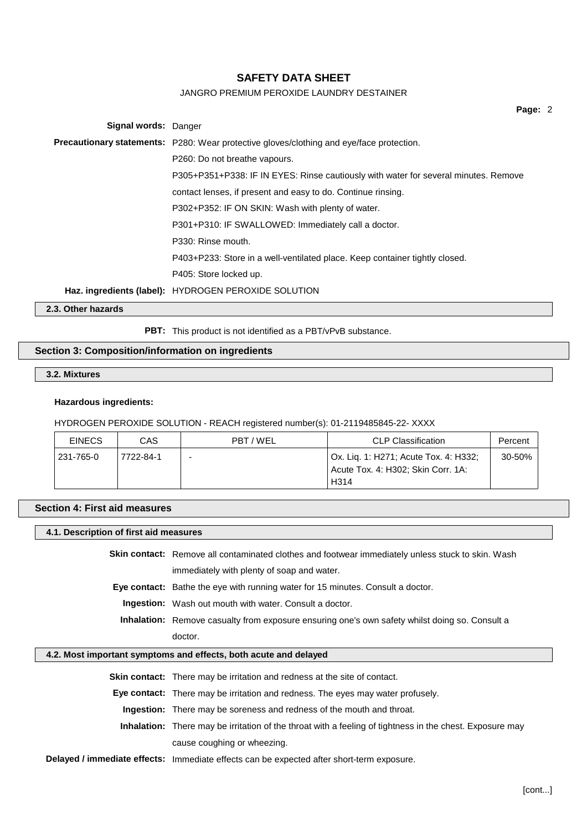### JANGRO PREMIUM PEROXIDE LAUNDRY DESTAINER

**Page:** 2 **Signal words:** Danger **Precautionary statements:** P280: Wear protective gloves/clothing and eye/face protection. P260: Do not breathe vapours. P305+P351+P338: IF IN EYES: Rinse cautiously with water for several minutes. Remove contact lenses, if present and easy to do. Continue rinsing. P302+P352: IF ON SKIN: Wash with plenty of water. P301+P310: IF SWALLOWED: Immediately call a doctor. P330: Rinse mouth. P403+P233: Store in a well-ventilated place. Keep container tightly closed. P405: Store locked up. **Haz. ingredients (label):** HYDROGEN PEROXIDE SOLUTION

**2.3. Other hazards**

PBT: This product is not identified as a PBT/vPvB substance.

### **Section 3: Composition/information on ingredients**

**3.2. Mixtures**

### **Hazardous ingredients:**

HYDROGEN PEROXIDE SOLUTION - REACH registered number(s): 01-2119485845-22- XXXX

| <b>EINECS</b> | CAS       | PBT / WEL | <b>CLP Classification</b>                                                                        | Percent |
|---------------|-----------|-----------|--------------------------------------------------------------------------------------------------|---------|
| 231-765-0     | 7722-84-1 |           | Ox. Liq. 1: H271; Acute Tox. 4: H332;<br>Acute Tox. 4: H302; Skin Corr. 1A:<br>H <sub>3</sub> 14 | 30-50%  |

### **Section 4: First aid measures**

**4.1. Description of first aid measures**

**Skin contact:** Remove all contaminated clothes and footwear immediately unless stuck to skin. Wash immediately with plenty of soap and water. **Eye contact:** Bathe the eye with running water for 15 minutes. Consult a doctor. **Ingestion:** Wash out mouth with water. Consult a doctor. **Inhalation:** Remove casualty from exposure ensuring one's own safety whilst doing so. Consult a doctor.

### **4.2. Most important symptoms and effects, both acute and delayed**

| <b>Skin contact:</b> There may be irritation and redness at the site of contact.                                |
|-----------------------------------------------------------------------------------------------------------------|
| <b>Eye contact:</b> There may be irritation and redness. The eyes may water profusely.                          |
| <b>Ingestion:</b> There may be soreness and redness of the mouth and throat.                                    |
| <b>Inhalation:</b> There may be irritation of the throat with a feeling of tightness in the chest. Exposure may |
| cause coughing or wheezing.                                                                                     |
| Delayed / immediate effects: Immediate effects can be expected after short-term exposure.                       |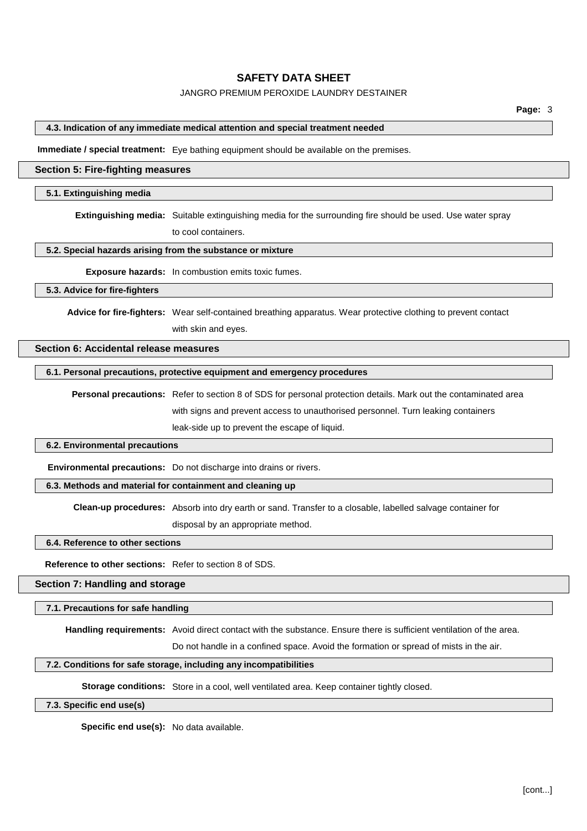### JANGRO PREMIUM PEROXIDE LAUNDRY DESTAINER

### **4.3. Indication of any immediate medical attention and special treatment needed**

**Immediate / special treatment:** Eye bathing equipment should be available on the premises.

#### **Section 5: Fire-fighting measures**

#### **5.1. Extinguishing media**

**Extinguishing media:** Suitable extinguishing media for the surrounding fire should be used. Use water spray

to cool containers.

#### **5.2. Special hazards arising from the substance or mixture**

**Exposure hazards:** In combustion emits toxic fumes.

#### **5.3. Advice for fire-fighters**

**Advice for fire-fighters:** Wear self-contained breathing apparatus. Wear protective clothing to prevent contact

with skin and eyes.

### **Section 6: Accidental release measures**

### **6.1. Personal precautions, protective equipment and emergency procedures**

**Personal precautions:** Refer to section 8 of SDS for personal protection details. Mark out the contaminated area with signs and prevent access to unauthorised personnel. Turn leaking containers leak-side up to prevent the escape of liquid.

#### **6.2. Environmental precautions**

**Environmental precautions:** Do not discharge into drains or rivers.

#### **6.3. Methods and material for containment and cleaning up**

**Clean-up procedures:** Absorb into dry earth or sand. Transfer to a closable, labelled salvage container for

disposal by an appropriate method.

### **6.4. Reference to other sections**

**Reference to other sections:** Refer to section 8 of SDS.

#### **Section 7: Handling and storage**

#### **7.1. Precautions for safe handling**

**Handling requirements:** Avoid direct contact with the substance. Ensure there is sufficient ventilation of the area.

Do not handle in a confined space. Avoid the formation or spread of mists in the air.

### **7.2. Conditions for safe storage, including any incompatibilities**

**Storage conditions:** Store in a cool, well ventilated area. Keep container tightly closed.

#### **7.3. Specific end use(s)**

**Specific end use(s):** No data available.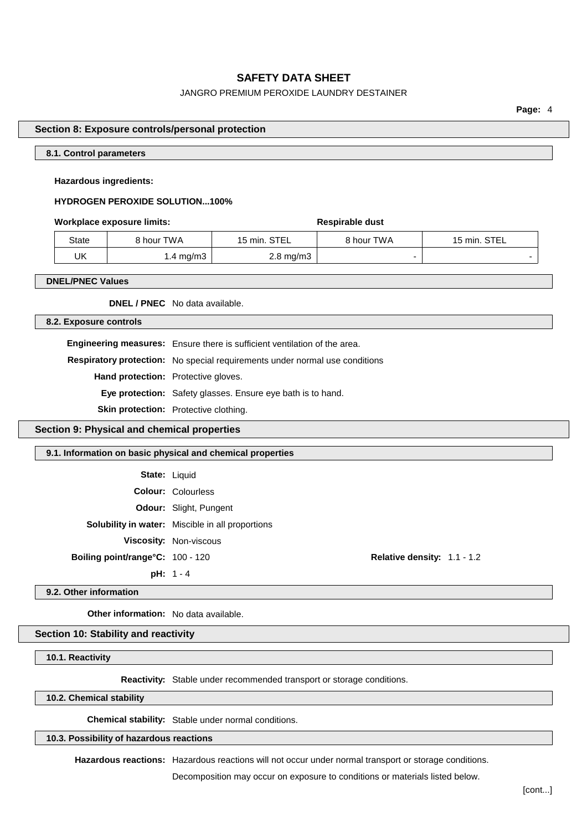### JANGRO PREMIUM PEROXIDE LAUNDRY DESTAINER

**Page:** 4

### **Section 8: Exposure controls/personal protection**

### **8.1. Control parameters**

### **Hazardous ingredients:**

### **HYDROGEN PEROXIDE SOLUTION...100%**

#### **Workplace** exposure limits: **Respirable** dust

State | 8 hour TWA | 15 min. STEL | 8 hour TWA | 15 min. STEL  $UK$  1.4 mg/m3 2.8 mg/m3 -

#### **DNEL/PNEC Values**

**DNEL / PNEC** No data available.

**8.2. Exposure controls**

**Engineering measures:** Ensure there is sufficient ventilation of the area. **Respiratory protection:** No special requirements under normal use conditions

**Hand protection:** Protective gloves.

**Eye protection:** Safety glasses. Ensure eye bath is to hand.

**Skin protection:** Protective clothing.

**Section 9: Physical and chemical properties**

#### **9.1. Information on basic physical and chemical properties**

| <b>State: Liquid</b>                    |                                                         |                             |  |
|-----------------------------------------|---------------------------------------------------------|-----------------------------|--|
|                                         | <b>Colour: Colourless</b>                               |                             |  |
|                                         | <b>Odour:</b> Slight, Pungent                           |                             |  |
|                                         | <b>Solubility in water:</b> Miscible in all proportions |                             |  |
|                                         | <b>Viscosity: Non-viscous</b>                           |                             |  |
| <b>Boiling point/range°C: 100 - 120</b> |                                                         | Relative density: 1.1 - 1.2 |  |
|                                         | $pH: 1 - 4$                                             |                             |  |

#### **9.2. Other information**

**Other information:** No data available.

### **Section 10: Stability and reactivity**

### **10.1. Reactivity**

**Reactivity:** Stable under recommended transport or storage conditions.

**10.2. Chemical stability**

**Chemical stability:** Stable under normal conditions.

#### **10.3. Possibility of hazardous reactions**

**Hazardous reactions:** Hazardous reactions will not occur under normal transport or storage conditions.

Decomposition may occur on exposure to conditions or materials listed below.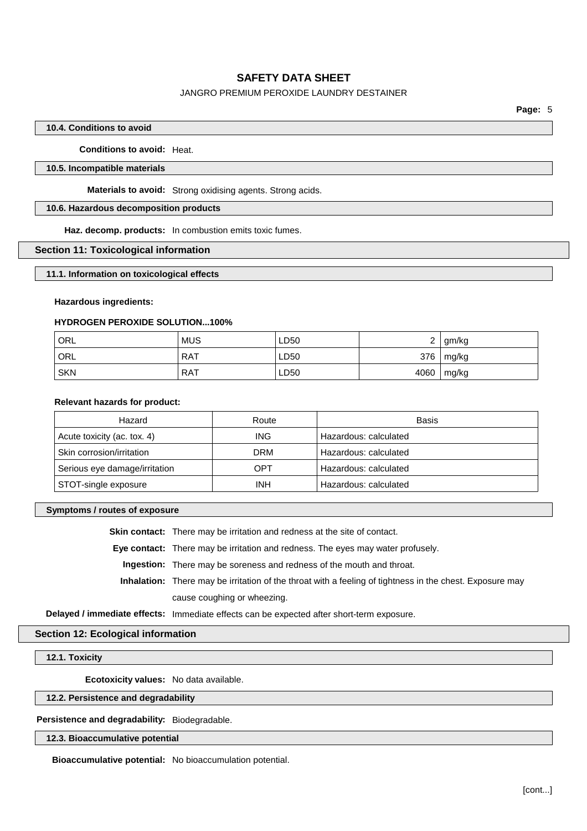### JANGRO PREMIUM PEROXIDE LAUNDRY DESTAINER

### **10.4. Conditions to avoid**

**Conditions to avoid:** Heat.

### **10.5. Incompatible materials**

**Materials to avoid:** Strong oxidising agents. Strong acids.

### **10.6. Hazardous decomposition products**

**Haz. decomp. products:** In combustion emits toxic fumes.

#### **Section 11: Toxicological information**

#### **11.1. Information on toxicological effects**

#### **Hazardous ingredients:**

### **HYDROGEN PEROXIDE SOLUTION...100%**

| ORL        | <b>MUS</b> | LD50 | <u>_</u> | gm/kg |
|------------|------------|------|----------|-------|
| ORL        | <b>RAT</b> | LD50 | 376      | mg/kg |
| <b>SKN</b> | RAT        | LD50 | 4060     | mg/kg |

#### **Relevant hazards for product:**

| Hazard                        | Route      | Basis                 |
|-------------------------------|------------|-----------------------|
| Acute toxicity (ac. tox. 4)   | ING.       | Hazardous: calculated |
| Skin corrosion/irritation     | DRM        | Hazardous: calculated |
| Serious eye damage/irritation | OPT        | Hazardous: calculated |
| STOT-single exposure          | <b>INH</b> | Hazardous: calculated |

#### **Symptoms / routes of exposure**

**Skin contact:** There may be irritation and redness at the site of contact.

**Eye contact:** There may be irritation and redness. The eyes may water profusely.

**Ingestion:** There may be soreness and redness of the mouth and throat.

**Inhalation:** There may be irritation of the throat with a feeling of tightness in the chest. Exposure may cause coughing or wheezing.

**Delayed / immediate effects:** Immediate effects can be expected after short-term exposure.

### **Section 12: Ecological information**

### **12.1. Toxicity**

**Ecotoxicity values:** No data available.

### **12.2. Persistence and degradability**

**Persistence and degradability:** Biodegradable.

**12.3. Bioaccumulative potential**

**Bioaccumulative potential:** No bioaccumulation potential.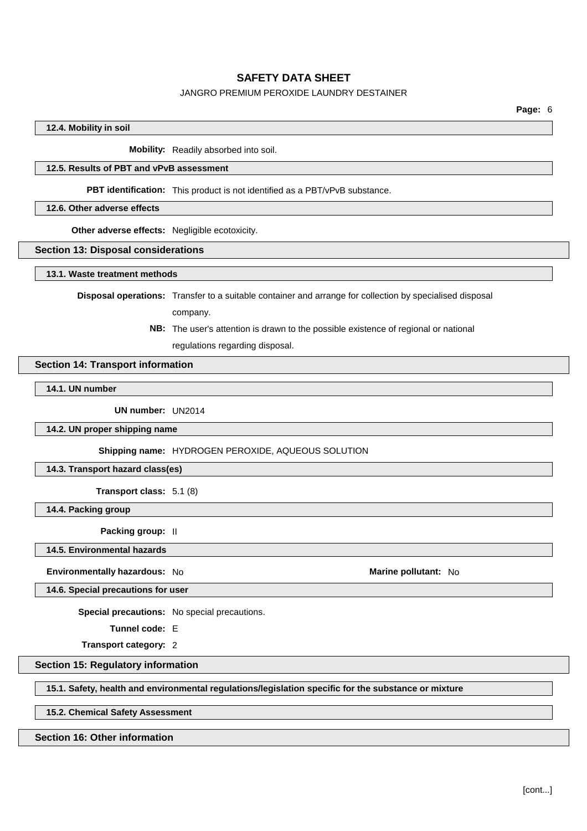### JANGRO PREMIUM PEROXIDE LAUNDRY DESTAINER

### **12.4. Mobility in soil**

**Mobility:** Readily absorbed into soil.

### **12.5. Results of PBT and vPvB assessment**

**PBT identification:** This product is not identified as a PBT/vPvB substance.

#### **12.6. Other adverse effects**

**Other adverse effects:** Negligible ecotoxicity.

#### **Section 13: Disposal considerations**

**13.1. Waste treatment methods**

**Disposal operations:** Transfer to a suitable container and arrange for collection by specialised disposal company.

> **NB:** The user's attention is drawn to the possible existence of regional or national regulations regarding disposal.

### **Section 14: Transport information**

# **14.1. UN number**

**UN number:** UN2014

**14.2. UN proper shipping name**

**Shipping name:** HYDROGEN PEROXIDE, AQUEOUS SOLUTION

### **14.3. Transport hazard class(es)**

**Transport class:** 5.1 (8)

**14.4. Packing group**

**Packing group:** II

**14.5. Environmental hazards**

**Environmentally hazardous:** No **Marine Marine Marine** pollutant: No **Marine Marine** pollutant: No

**14.6. Special precautions for user**

**Special precautions:** No special precautions.

**Tunnel code:** E

**Transport category:** 2

### **Section 15: Regulatory information**

**15.1. Safety, health and environmental regulations/legislation specific for the substance or mixture**

**15.2. Chemical Safety Assessment**

#### **Section 16: Other information**